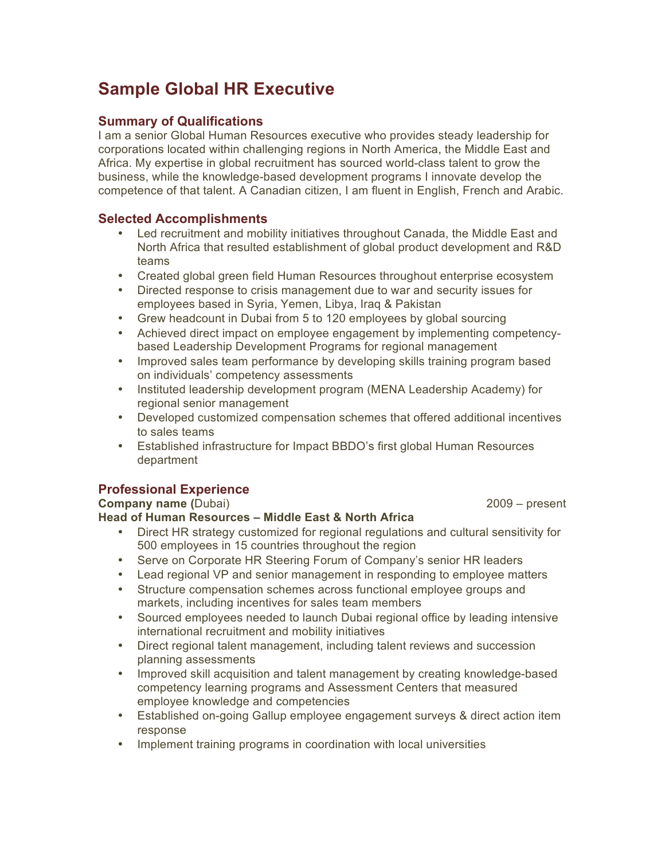# **Sample Global HR Executive**

## **Summary of Qualifications**

I am a senior Global Human Resources executive who provides steady leadership for corporations located within challenging regions in North America, the Middle East and Africa. My expertise in global recruitment has sourced world-class talent to grow the business, while the knowledge-based development programs I innovate develop the competence of that talent. A Canadian citizen, I am fluent in English, French and Arabic.

#### **Selected Accomplishments**

- Led recruitment and mobility initiatives throughout Canada, the Middle East and North Africa that resulted establishment of global product development and R&D teams
- Created global green field Human Resources throughout enterprise ecosystem
- Directed response to crisis management due to war and security issues for employees based in Syria, Yemen, Libya, Iraq & Pakistan
- Grew headcount in Dubai from 5 to 120 employees by global sourcing
- Achieved direct impact on employee engagement by implementing competencybased Leadership Development Programs for regional management
- Improved sales team performance by developing skills training program based on individuals' competency assessments
- Instituted leadership development program (MENA Leadership Academy) for regional senior management
- Developed customized compensation schemes that offered additional incentives to sales teams
- Established infrastructure for Impact BBDO's first global Human Resources department

## **Professional Experience**

#### **Company name (**Dubai)2009 – present

#### **Head of Human Resources – Middle East & North Africa**

- Direct HR strategy customized for regional regulations and cultural sensitivity for 500 employees in 15 countries throughout the region
- Serve on Corporate HR Steering Forum of Company's senior HR leaders
- Lead regional VP and senior management in responding to employee matters
- Structure compensation schemes across functional employee groups and markets, including incentives for sales team members
- Sourced employees needed to launch Dubai regional office by leading intensive international recruitment and mobility initiatives
- Direct regional talent management, including talent reviews and succession planning assessments
- Improved skill acquisition and talent management by creating knowledge-based competency learning programs and Assessment Centers that measured employee knowledge and competencies
- Established on-going Gallup employee engagement surveys & direct action item response
- Implement training programs in coordination with local universities